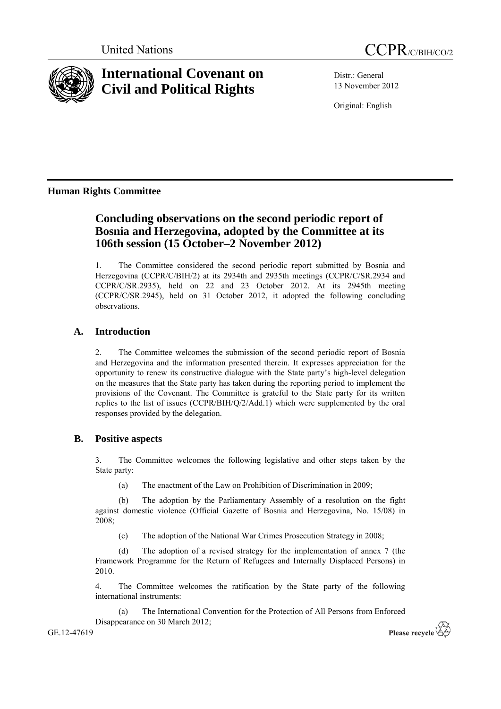



# **International Covenant on Civil and Political Rights**

Distr.: General 13 November 2012

Original: English

# **Human Rights Committee**

# **Concluding observations on the second periodic report of Bosnia and Herzegovina, adopted by the Committee at its 106th session (15 October–2 November 2012)**

1. The Committee considered the second periodic report submitted by Bosnia and Herzegovina (CCPR/C/BIH/2) at its 2934th and 2935th meetings (CCPR/C/SR.2934 and CCPR/C/SR.2935), held on 22 and 23 October 2012. At its 2945th meeting (CCPR/C/SR.2945), held on 31 October 2012, it adopted the following concluding observations.

## **A. Introduction**

2. The Committee welcomes the submission of the second periodic report of Bosnia and Herzegovina and the information presented therein. It expresses appreciation for the opportunity to renew its constructive dialogue with the State party's high-level delegation on the measures that the State party has taken during the reporting period to implement the provisions of the Covenant. The Committee is grateful to the State party for its written replies to the list of issues (CCPR/BIH/Q/2/Add.1) which were supplemented by the oral responses provided by the delegation.

### **B. Positive aspects**

3. The Committee welcomes the following legislative and other steps taken by the State party:

(a) The enactment of the Law on Prohibition of Discrimination in 2009;

(b) The adoption by the Parliamentary Assembly of a resolution on the fight against domestic violence (Official Gazette of Bosnia and Herzegovina, No. 15/08) in 2008;

(c) The adoption of the National War Crimes Prosecution Strategy in 2008;

(d) The adoption of a revised strategy for the implementation of annex 7 (the Framework Programme for the Return of Refugees and Internally Displaced Persons) in 2010.

4. The Committee welcomes the ratification by the State party of the following international instruments:

(a) The International Convention for the Protection of All Persons from Enforced Disappearance on 30 March 2012;

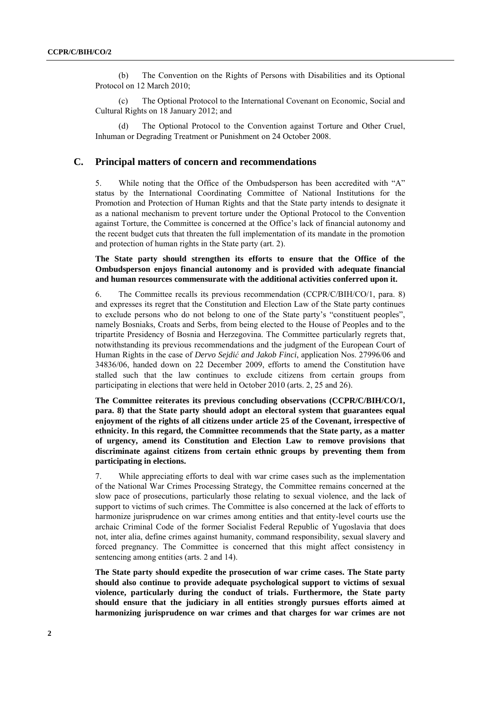(b) The Convention on the Rights of Persons with Disabilities and its Optional Protocol on 12 March 2010;

(c) The Optional Protocol to the International Covenant on Economic, Social and Cultural Rights on 18 January 2012; and

The Optional Protocol to the Convention against Torture and Other Cruel, Inhuman or Degrading Treatment or Punishment on 24 October 2008.

#### **C. Principal matters of concern and recommendations**

5. While noting that the Office of the Ombudsperson has been accredited with "A" status by the International Coordinating Committee of National Institutions for the Promotion and Protection of Human Rights and that the State party intends to designate it as a national mechanism to prevent torture under the Optional Protocol to the Convention against Torture, the Committee is concerned at the Office's lack of financial autonomy and the recent budget cuts that threaten the full implementation of its mandate in the promotion and protection of human rights in the State party (art. 2).

#### **The State party should strengthen its efforts to ensure that the Office of the Ombudsperson enjoys financial autonomy and is provided with adequate financial and human resources commensurate with the additional activities conferred upon it.**

6. The Committee recalls its previous recommendation (CCPR/C/BIH/CO/1, para. 8) and expresses its regret that the Constitution and Election Law of the State party continues to exclude persons who do not belong to one of the State party's "constituent peoples", namely Bosniaks, Croats and Serbs, from being elected to the House of Peoples and to the tripartite Presidency of Bosnia and Herzegovina. The Committee particularly regrets that, notwithstanding its previous recommendations and the judgment of the European Court of Human Rights in the case of *Dervo Sejdić and Jakob Finci*, application Nos. 27996/06 and 34836/06, handed down on 22 December 2009, efforts to amend the Constitution have stalled such that the law continues to exclude citizens from certain groups from participating in elections that were held in October 2010 (arts. 2, 25 and 26).

**The Committee reiterates its previous concluding observations (CCPR/C/BIH/CO/1, para. 8) that the State party should adopt an electoral system that guarantees equal enjoyment of the rights of all citizens under article 25 of the Covenant, irrespective of ethnicity. In this regard, the Committee recommends that the State party, as a matter of urgency, amend its Constitution and Election Law to remove provisions that discriminate against citizens from certain ethnic groups by preventing them from participating in elections.**

7. While appreciating efforts to deal with war crime cases such as the implementation of the National War Crimes Processing Strategy, the Committee remains concerned at the slow pace of prosecutions, particularly those relating to sexual violence, and the lack of support to victims of such crimes. The Committee is also concerned at the lack of efforts to harmonize jurisprudence on war crimes among entities and that entity-level courts use the archaic Criminal Code of the former Socialist Federal Republic of Yugoslavia that does not, inter alia, define crimes against humanity, command responsibility, sexual slavery and forced pregnancy. The Committee is concerned that this might affect consistency in sentencing among entities (arts. 2 and 14).

**The State party should expedite the prosecution of war crime cases. The State party should also continue to provide adequate psychological support to victims of sexual violence, particularly during the conduct of trials. Furthermore, the State party should ensure that the judiciary in all entities strongly pursues efforts aimed at harmonizing jurisprudence on war crimes and that charges for war crimes are not**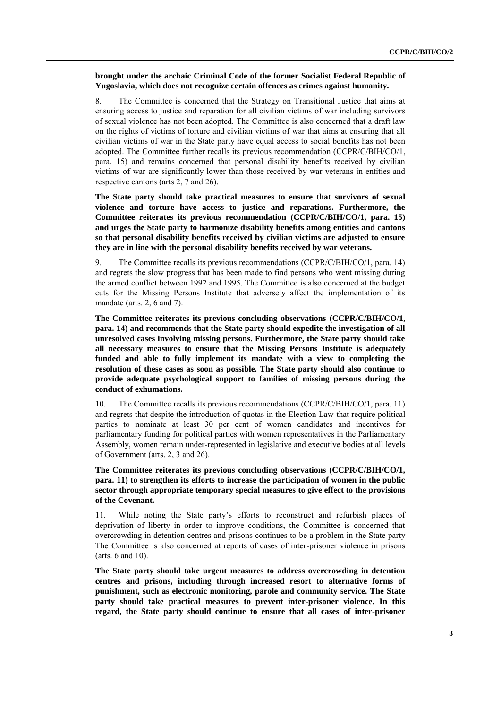#### **brought under the archaic Criminal Code of the former Socialist Federal Republic of Yugoslavia, which does not recognize certain offences as crimes against humanity.**

8. The Committee is concerned that the Strategy on Transitional Justice that aims at ensuring access to justice and reparation for all civilian victims of war including survivors of sexual violence has not been adopted. The Committee is also concerned that a draft law on the rights of victims of torture and civilian victims of war that aims at ensuring that all civilian victims of war in the State party have equal access to social benefits has not been adopted. The Committee further recalls its previous recommendation (CCPR/C/BIH/CO/1, para. 15) and remains concerned that personal disability benefits received by civilian victims of war are significantly lower than those received by war veterans in entities and respective cantons (arts 2, 7 and 26).

**The State party should take practical measures to ensure that survivors of sexual violence and torture have access to justice and reparations. Furthermore, the Committee reiterates its previous recommendation (CCPR/C/BIH/CO/1, para. 15) and urges the State party to harmonize disability benefits among entities and cantons so that personal disability benefits received by civilian victims are adjusted to ensure they are in line with the personal disability benefits received by war veterans.**

9. The Committee recalls its previous recommendations (CCPR/C/BIH/CO/1, para. 14) and regrets the slow progress that has been made to find persons who went missing during the armed conflict between 1992 and 1995. The Committee is also concerned at the budget cuts for the Missing Persons Institute that adversely affect the implementation of its mandate (arts. 2, 6 and 7).

**The Committee reiterates its previous concluding observations (CCPR/C/BIH/CO/1, para. 14) and recommends that the State party should expedite the investigation of all unresolved cases involving missing persons. Furthermore, the State party should take all necessary measures to ensure that the Missing Persons Institute is adequately funded and able to fully implement its mandate with a view to completing the resolution of these cases as soon as possible. The State party should also continue to provide adequate psychological support to families of missing persons during the conduct of exhumations.**

10. The Committee recalls its previous recommendations (CCPR/C/BIH/CO/1, para. 11) and regrets that despite the introduction of quotas in the Election Law that require political parties to nominate at least 30 per cent of women candidates and incentives for parliamentary funding for political parties with women representatives in the Parliamentary Assembly, women remain under-represented in legislative and executive bodies at all levels of Government (arts. 2, 3 and 26).

#### **The Committee reiterates its previous concluding observations (CCPR/C/BIH/CO/1, para. 11) to strengthen its efforts to increase the participation of women in the public sector through appropriate temporary special measures to give effect to the provisions of the Covenant.**

11. While noting the State party's efforts to reconstruct and refurbish places of deprivation of liberty in order to improve conditions, the Committee is concerned that overcrowding in detention centres and prisons continues to be a problem in the State party The Committee is also concerned at reports of cases of inter-prisoner violence in prisons (arts. 6 and 10).

**The State party should take urgent measures to address overcrowding in detention centres and prisons, including through increased resort to alternative forms of punishment, such as electronic monitoring, parole and community service. The State party should take practical measures to prevent inter-prisoner violence. In this regard, the State party should continue to ensure that all cases of inter-prisoner**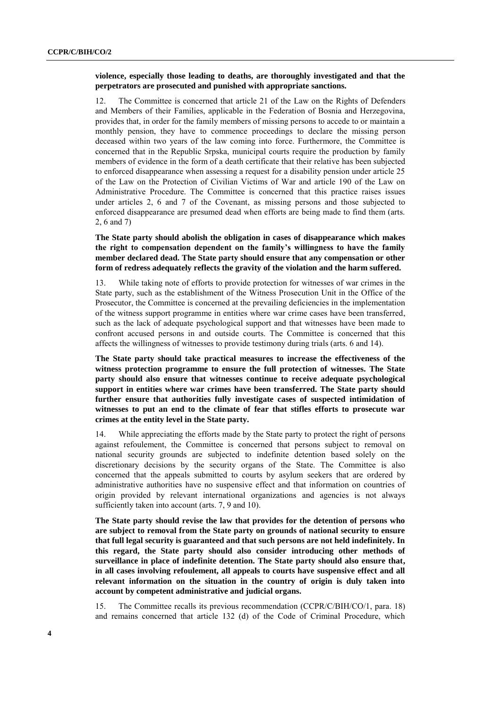#### **violence, especially those leading to deaths, are thoroughly investigated and that the perpetrators are prosecuted and punished with appropriate sanctions.**

12. The Committee is concerned that article 21 of the Law on the Rights of Defenders and Members of their Families, applicable in the Federation of Bosnia and Herzegovina, provides that, in order for the family members of missing persons to accede to or maintain a monthly pension, they have to commence proceedings to declare the missing person deceased within two years of the law coming into force. Furthermore, the Committee is concerned that in the Republic Srpska, municipal courts require the production by family members of evidence in the form of a death certificate that their relative has been subjected to enforced disappearance when assessing a request for a disability pension under article 25 of the Law on the Protection of Civilian Victims of War and article 190 of the Law on Administrative Procedure. The Committee is concerned that this practice raises issues under articles 2, 6 and 7 of the Covenant, as missing persons and those subjected to enforced disappearance are presumed dead when efforts are being made to find them (arts. 2, 6 and 7)

**The State party should abolish the obligation in cases of disappearance which makes the right to compensation dependent on the family's willingness to have the family member declared dead. The State party should ensure that any compensation or other form of redress adequately reflects the gravity of the violation and the harm suffered.**

13. While taking note of efforts to provide protection for witnesses of war crimes in the State party, such as the establishment of the Witness Prosecution Unit in the Office of the Prosecutor, the Committee is concerned at the prevailing deficiencies in the implementation of the witness support programme in entities where war crime cases have been transferred, such as the lack of adequate psychological support and that witnesses have been made to confront accused persons in and outside courts. The Committee is concerned that this affects the willingness of witnesses to provide testimony during trials (arts. 6 and 14).

**The State party should take practical measures to increase the effectiveness of the witness protection programme to ensure the full protection of witnesses. The State party should also ensure that witnesses continue to receive adequate psychological support in entities where war crimes have been transferred. The State party should further ensure that authorities fully investigate cases of suspected intimidation of witnesses to put an end to the climate of fear that stifles efforts to prosecute war crimes at the entity level in the State party.**

14. While appreciating the efforts made by the State party to protect the right of persons against refoulement, the Committee is concerned that persons subject to removal on national security grounds are subjected to indefinite detention based solely on the discretionary decisions by the security organs of the State. The Committee is also concerned that the appeals submitted to courts by asylum seekers that are ordered by administrative authorities have no suspensive effect and that information on countries of origin provided by relevant international organizations and agencies is not always sufficiently taken into account (arts. 7, 9 and 10).

**The State party should revise the law that provides for the detention of persons who are subject to removal from the State party on grounds of national security to ensure that full legal security is guaranteed and that such persons are not held indefinitely. In this regard, the State party should also consider introducing other methods of surveillance in place of indefinite detention. The State party should also ensure that, in all cases involving refoulement, all appeals to courts have suspensive effect and all relevant information on the situation in the country of origin is duly taken into account by competent administrative and judicial organs.**

15. The Committee recalls its previous recommendation (CCPR/C/BIH/CO/1, para. 18) and remains concerned that article 132 (d) of the Code of Criminal Procedure, which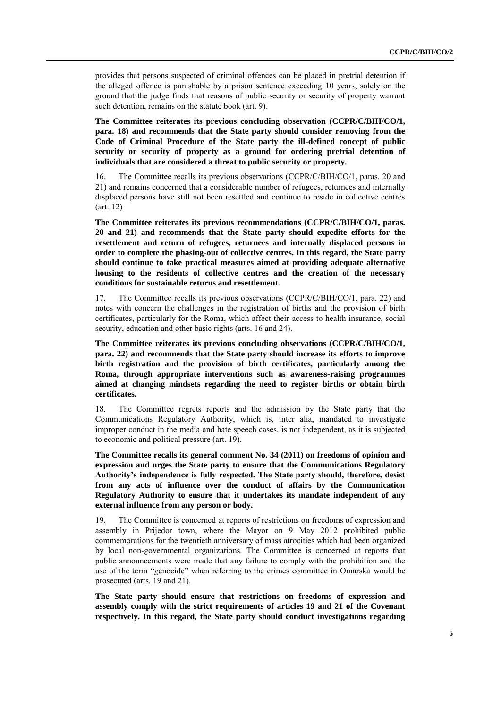provides that persons suspected of criminal offences can be placed in pretrial detention if the alleged offence is punishable by a prison sentence exceeding 10 years, solely on the ground that the judge finds that reasons of public security or security of property warrant such detention, remains on the statute book (art. 9).

**The Committee reiterates its previous concluding observation (CCPR/C/BIH/CO/1, para. 18) and recommends that the State party should consider removing from the Code of Criminal Procedure of the State party the ill-defined concept of public security or security of property as a ground for ordering pretrial detention of individuals that are considered a threat to public security or property.**

16. The Committee recalls its previous observations (CCPR/C/BIH/CO/1, paras. 20 and 21) and remains concerned that a considerable number of refugees, returnees and internally displaced persons have still not been resettled and continue to reside in collective centres (art. 12)

**The Committee reiterates its previous recommendations (CCPR/C/BIH/CO/1, paras. 20 and 21) and recommends that the State party should expedite efforts for the resettlement and return of refugees, returnees and internally displaced persons in order to complete the phasing-out of collective centres. In this regard, the State party should continue to take practical measures aimed at providing adequate alternative housing to the residents of collective centres and the creation of the necessary conditions for sustainable returns and resettlement.**

17. The Committee recalls its previous observations (CCPR/C/BIH/CO/1, para. 22) and notes with concern the challenges in the registration of births and the provision of birth certificates, particularly for the Roma, which affect their access to health insurance, social security, education and other basic rights (arts. 16 and 24).

**The Committee reiterates its previous concluding observations (CCPR/C/BIH/CO/1, para. 22) and recommends that the State party should increase its efforts to improve birth registration and the provision of birth certificates, particularly among the Roma, through appropriate interventions such as awareness-raising programmes aimed at changing mindsets regarding the need to register births or obtain birth certificates.**

18. The Committee regrets reports and the admission by the State party that the Communications Regulatory Authority, which is, inter alia, mandated to investigate improper conduct in the media and hate speech cases, is not independent, as it is subjected to economic and political pressure (art. 19).

**The Committee recalls its general comment No. 34 (2011) on freedoms of opinion and expression and urges the State party to ensure that the Communications Regulatory Authority's independence is fully respected. The State party should, therefore, desist from any acts of influence over the conduct of affairs by the Communication Regulatory Authority to ensure that it undertakes its mandate independent of any external influence from any person or body.**

19. The Committee is concerned at reports of restrictions on freedoms of expression and assembly in Prijedor town, where the Mayor on 9 May 2012 prohibited public commemorations for the twentieth anniversary of mass atrocities which had been organized by local non-governmental organizations. The Committee is concerned at reports that public announcements were made that any failure to comply with the prohibition and the use of the term "genocide" when referring to the crimes committee in Omarska would be prosecuted (arts. 19 and 21).

**The State party should ensure that restrictions on freedoms of expression and assembly comply with the strict requirements of articles 19 and 21 of the Covenant respectively. In this regard, the State party should conduct investigations regarding**